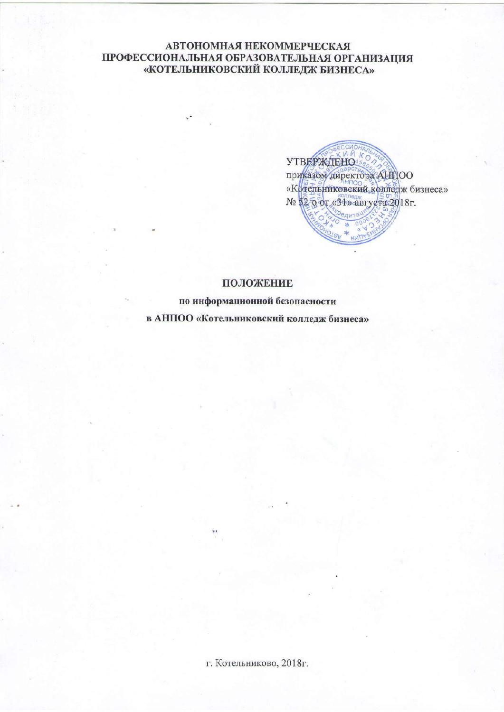# **АВТОНОМНАЯ НЕКОММЕРЧЕСКАЯ** ПРОФЕССИОНАЛЬНАЯ ОБРАЗОВАТЕЛЬНАЯ ОРГАНИЗАЦИЯ «КОТЕЛЬНИКОВСКИЙ КОЛЛЕДЖ БИЗНЕСА»

**YTBEPXCTEHOS** приказом директора AHIIOO «Кртепьниковский колледж бизнеса» № 52-0 от «31» августа 2018г.

## ПОЛОЖЕНИЕ

по информационной безопасности

в АНПОО «Котельниковский колледж бизнеса»

г. Котельниково, 2018г.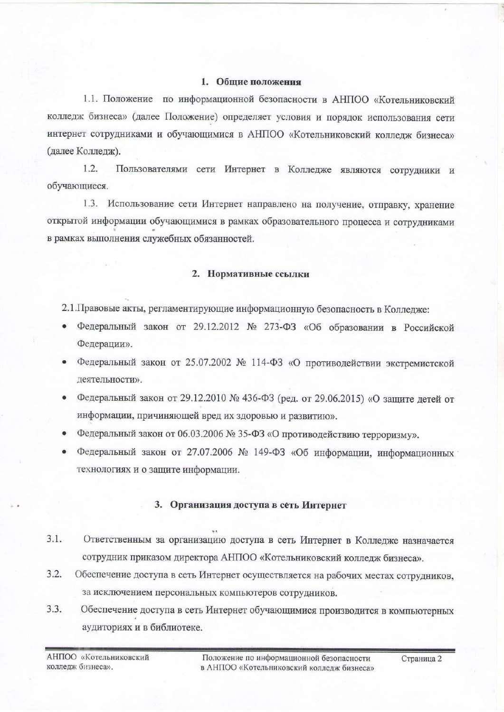#### 1. Общие положения

1.1. Положение по информационной безопасности в АНПОО «Котельниковский колледж бизнеса» (далее Положение) определяет условия и порядок использования сети интернет сотрудниками и обучающимися в АНПОО «Котельниковский колледж бизнеса» (далее Колледж).

 $1.2.$ Пользователями сети Интернет в Колледже являются сотрудники и обучающиеся.

1.3. Использование сети Интернет направлено на получение, отправку, хранение открытой информации обучающимися в рамках образовательного процесса и сотрудниками в рамках выполнения служебных обязанностей.

### 2. Нормативные ссылки

2.1. Правовые акты, регламентирующие информационную безопасность в Колледже:

- Федеральный закон от 29.12.2012 № 273-ФЗ «Об образовании в Российской Федерации».
- Федеральный закон от 25.07.2002 № 114-ФЗ «О противодействии экстремистской деятельности».
- Федеральный закон от 29.12.2010 № 436-ФЗ (ред. от 29.06.2015) «О защите детей от информации, причиняющей вред их здоровью и развитию».
- Федеральный закон от 06.03.2006 № 35-ФЗ «О противодействию терроризму».
- Федеральный закон от 27.07.2006 № 149-ФЗ «Об информации, информационных технологиях и о защите информации.

### 3. Организация доступа в сеть Интернет

- $3.1.$ Ответственным за организацию доступа в сеть Интернет в Колледже назначается сотрудник приказом директора АНПОО «Котельниковский колледж бизнеса».
- $3.2.$ Обеспечение доступа в сеть Интернет осуществляется на рабочих местах сотрудников, за исключением персональных компьютеров сотрудников.
- $3.3.$ Обеспечение доступа в сеть Интернет обучающимися производится в компьютерных аудиториях и в библиотеке.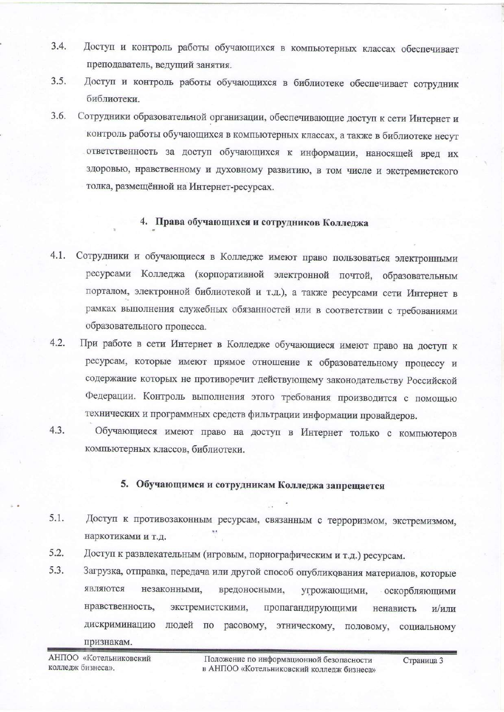- $3.4.$ Доступ и контроль работы обучающихся в компьютерных классах обеспечивает преподаватель, ведущий занятия.
- $3.5.$ Доступ и контроль работы обучающихся в библиотеке обеспечивает сотрудник библиотеки.
- $3.6.$ Сотрудники образовательной организации, обеспечивающие доступ к сети Интернет и контроль работы обучающихся в компьютерных классах, а также в библиотеке несут ответственность за доступ обучающихся к информации, наносящей вред их здоровью, нравственному и духовному развитию, в том числе и экстремистского толка, размещённой на Интернет-ресурсах.

#### 4. Права обучающихся и сотрудников Колледжа

- 4.1. Сотрудники и обучающиеся в Колледже имеют право пользоваться электронными ресурсами Колледжа (корпоративной электронной почтой, образовательным порталом, электронной библиотекой и т.д.), а также ресурсами сети Интернет в рамках выполнения служебных обязанностей или в соответствии с требованиями образовательного процесса.
- $4.2.$ При работе в сети Интернет в Колледже обучающиеся имеют право на доступ к ресурсам, которые имеют прямое отношение к образовательному процессу и содержание которых не противоречит действующему законодательству Российской Федерации. Контроль выполнения этого требования производится с помощью технических и программных средств фильтрации информации провайдеров.
- $4.3.$ Обучающиеся имеют право на доступ в Интернет только с компьютеров компьютерных классов, библиотеки.

#### 5. Обучающимся и сотрудникам Колледжа запрещается

- $5.1.$ Доступ к противозаконным ресурсам, связанным с терроризмом, экстремизмом, наркотиками и т.д.
- 5.2. Доступ к развлекательным (игровым, порнографическим и т.д.) ресурсам.
- 5.3. Загрузка, отправка, передача или другой способ опубликования материалов, которые являются незаконными, вредоносными, угрожающими, оскорбляющими нравственность, экстремистскими, пропагандирующими ненависть и/или дискриминацию людей по расовому, этническому, половому, социальному признакам.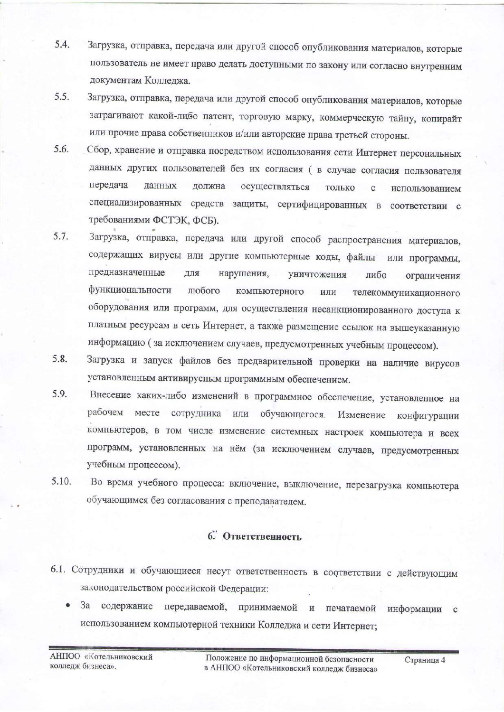- Загрузка, отправка, передача или другой способ опубликования материалов, которые 5.4. пользователь не имеет право делать доступными по закону или согласно внутренним документам Колледжа.
- Загрузка, отправка, передача или другой способ опубликования материалов, которые  $5.5.$ затрагивают какой-либо патент, торговую марку, коммерческую тайну, копирайт или прочие права собственников и/или авторские права третьей стороны.
- 5.6. Сбор, хранение и отправка посредством использования сети Интернет персональных данных других пользователей без их согласия ( в случае согласия пользователя передача данных должна осуществляться ТОЛЬКО использованием  $\mathbf{C}$ специализированных средств защиты, сертифицированных в соответствии с требованиями ФСТЭК, ФСБ).
- 5.7. Загрузка, отправка, передача или другой способ распространения материалов, содержащих вирусы или другие компьютерные коды, файлы или программы, предназначенные для нарушения, уничтожения либо ограничения функциональности любого компьютерного или телекоммуникационного оборудования или программ, для осуществления несанкционированного доступа к платным ресурсам в сеть Интернет, а также размещение ссылок на вышеуказанную информацию (за исключением случаев, предусмотренных учебным процессом).
- Загрузка и запуск файлов без предварительной проверки на наличие вирусов 5.8. установленным антивирусным программным обеспечением.
- 5.9. Внесение каких-либо изменений в программное обеспечение, установленное на рабочем месте сотрудника или обучающегося. Изменение конфигурации компьютеров, в том числе изменение системных настроек компьютера и всех программ, установленных на нём (за исключением случаев, предусмотренных учебным процессом).
- 5.10. Во время учебного процесса: включение, выключение, перезагрузка компьютера обучающимся без согласования с преподавателем.

# 6. Ответственность

- 6.1. Сотрудники и обучающиеся несут ответственность в соответствии с действующим законодательством российской Федерации:
	- содержание передаваемой, принимаемой и печатаемой 3a информации  $\mathbf{c}$ использованием компьютерной техники Колледжа и сети Интернет;